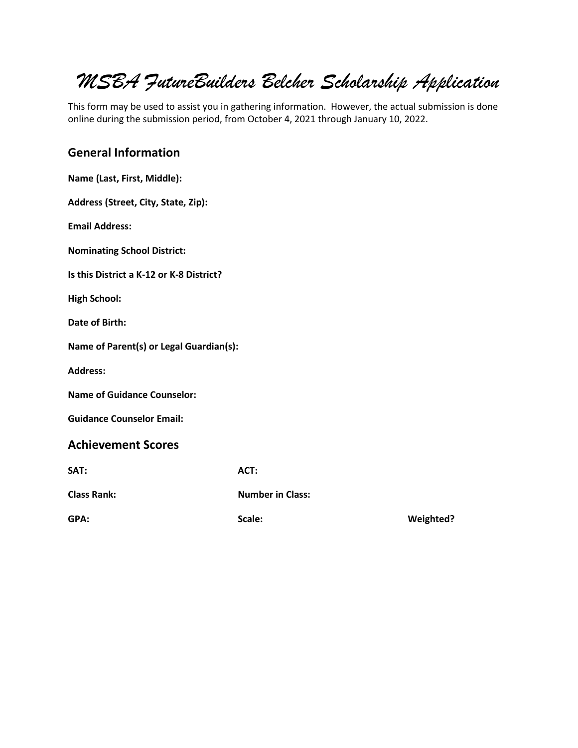# *MSBA FutureBuilders Belcher Scholarship Application*

This form may be used to assist you in gathering information. However, the actual submission is done online during the submission period, from October 4, 2021 through January 10, 2022.

#### **General Information**

| Name (Last, First, Middle):              |                         |                  |
|------------------------------------------|-------------------------|------------------|
| Address (Street, City, State, Zip):      |                         |                  |
| <b>Email Address:</b>                    |                         |                  |
| <b>Nominating School District:</b>       |                         |                  |
| Is this District a K-12 or K-8 District? |                         |                  |
| <b>High School:</b>                      |                         |                  |
| Date of Birth:                           |                         |                  |
| Name of Parent(s) or Legal Guardian(s):  |                         |                  |
| <b>Address:</b>                          |                         |                  |
| <b>Name of Guidance Counselor:</b>       |                         |                  |
| <b>Guidance Counselor Email:</b>         |                         |                  |
| <b>Achievement Scores</b>                |                         |                  |
| SAT:                                     | ACT:                    |                  |
| <b>Class Rank:</b>                       | <b>Number in Class:</b> |                  |
| GPA:                                     | Scale:                  | <b>Weighted?</b> |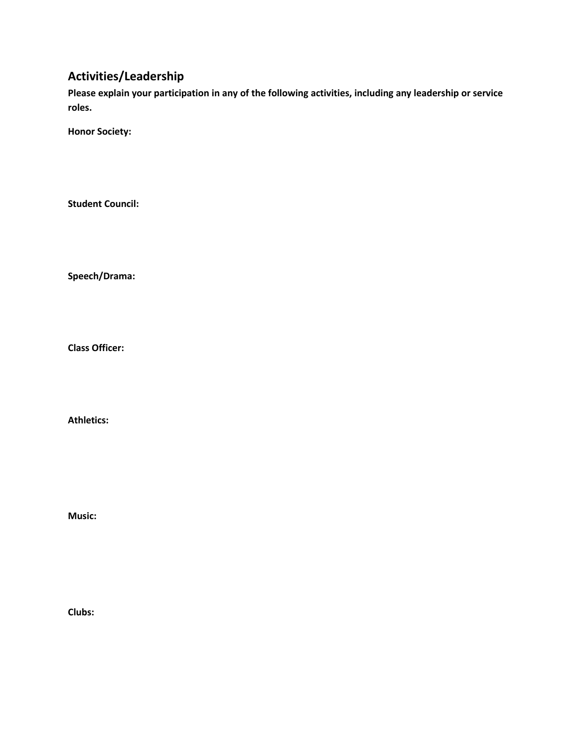## **Activities/Leadership**

**Please explain your participation in any of the following activities, including any leadership or service roles.**

**Honor Society:**

**Student Council:**

**Speech/Drama:**

**Class Officer:**

**Athletics:**

**Music:**

**Clubs:**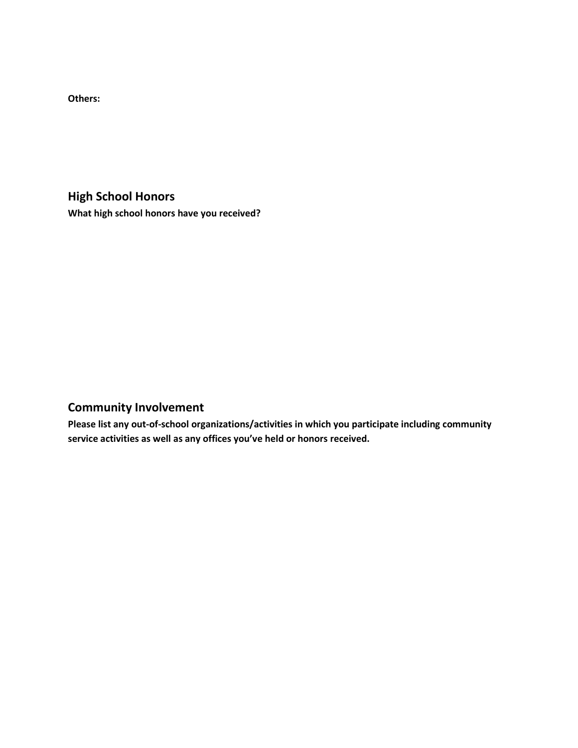**Others:**

**High School Honors What high school honors have you received?**

## **Community Involvement**

**Please list any out-of-school organizations/activities in which you participate including community service activities as well as any offices you've held or honors received.**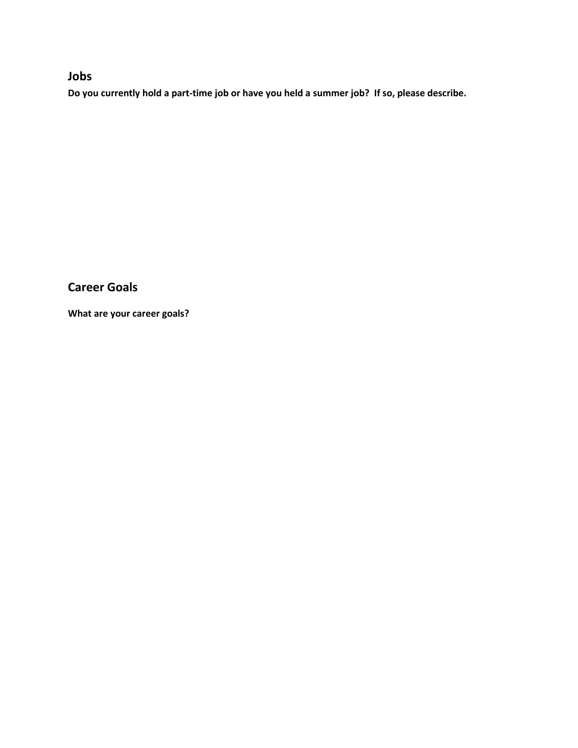## **Jobs**

**Do you currently hold a part-time job or have you held a summer job? If so, please describe.**

**Career Goals**

**What are your career goals?**